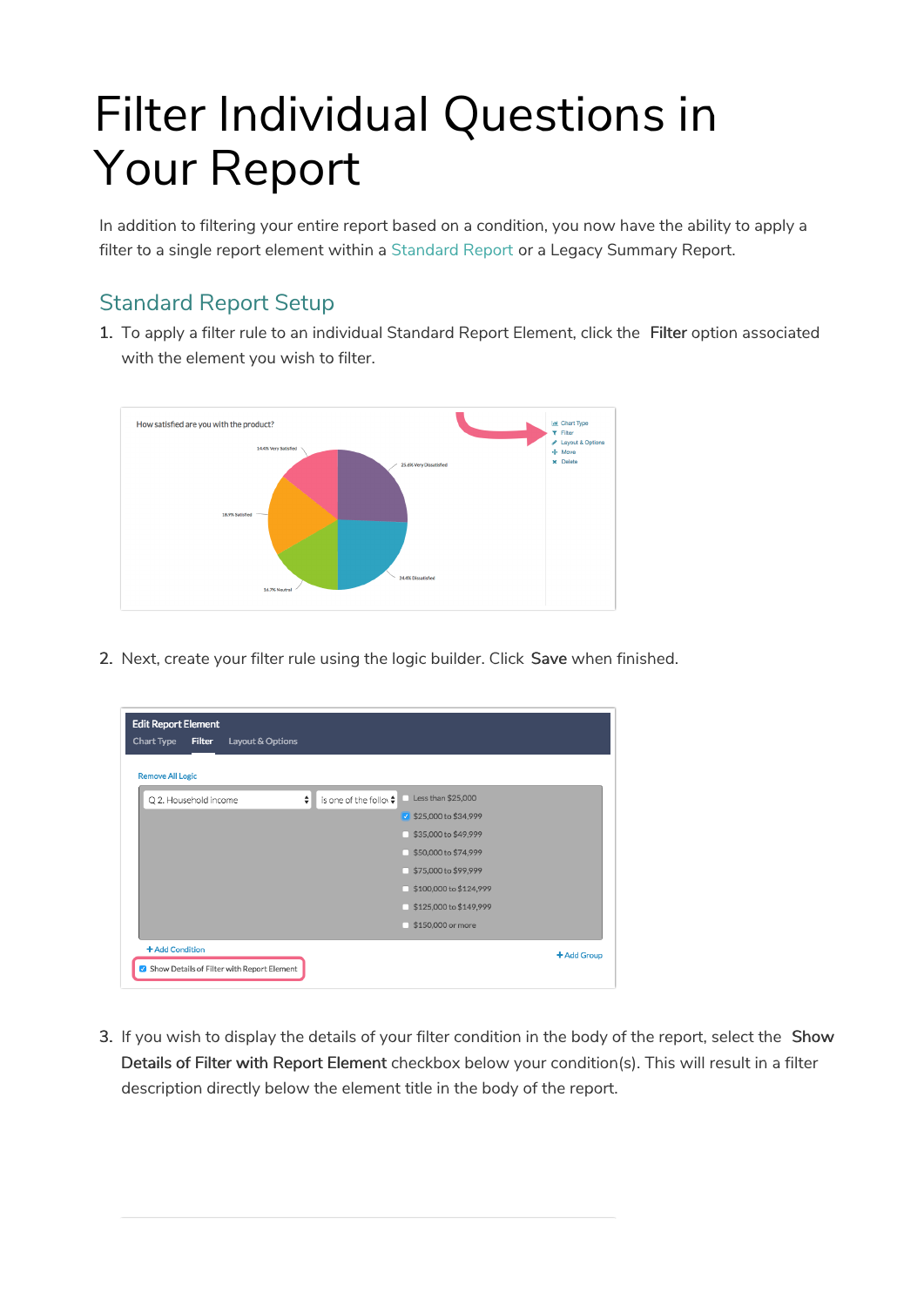# Filter Individual Questions in Your Report

In addition to filtering your entire report based on a condition, you now have the ability to apply a filter to a single report element within a Standard Report or a Legacy Summary Report.

## Standard Report Setup

1. To apply a filter rule to an individual Standard Report Element, click the Filter option associated with the element you wish to filter.



2. Next, create your filter rule using the logic builder. Click Save when finished.

| <b>Chart Type</b><br><b>Filter</b><br>Layout & Options<br><b>Remove All Logic</b> |   |                                    |                        |             |
|-----------------------------------------------------------------------------------|---|------------------------------------|------------------------|-------------|
| Q 2. Household income                                                             | ÷ | is one of the follow $\frac{1}{r}$ | Less than \$25,000     |             |
|                                                                                   |   |                                    | ■ \$25,000 to \$34,999 |             |
|                                                                                   |   |                                    | \$35,000 to \$49,999   |             |
|                                                                                   |   |                                    | \$50,000 to \$74,999   |             |
|                                                                                   |   |                                    | \$75,000 to \$99,999   |             |
|                                                                                   |   |                                    | \$100,000 to \$124,999 |             |
|                                                                                   |   |                                    | \$125,000 to \$149,999 |             |
|                                                                                   |   |                                    | \$150,000 or more      |             |
| + Add Condition                                                                   |   |                                    |                        | + Add Group |

3. If you wish to display the details of your filter condition in the body of the report, select the Show Details of Filter with Report Element checkbox below your condition(s). This will result in a filter description directly below the element title in the body of the report.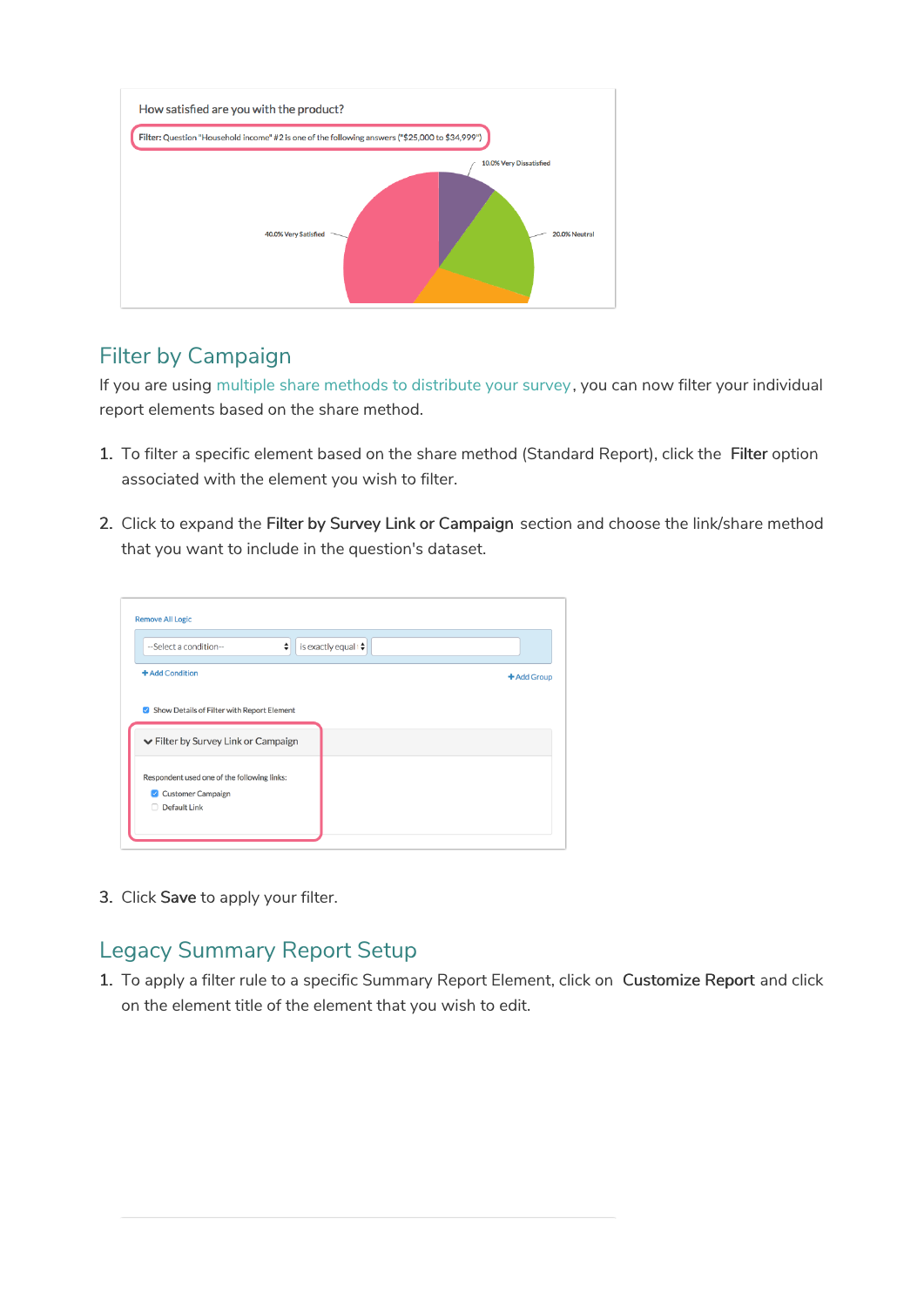

### Filter by Campaign

If you are using multiple share methods to distribute your survey, you can now filter your individual report elements based on the share method.

- 1. To filter a specific element based on the share method (Standard Report), click the Filter option associated with the element you wish to filter.
- 2. Click to expand the Filter by Survey Link or Campaign section and choose the link/share method that you want to include in the question's dataset.



3. Click Save to apply your filter.

### Legacy Summary Report Setup

1. To apply a filter rule to a specific Summary Report Element, click on Customize Report and click on the element title of the element that you wish to edit.